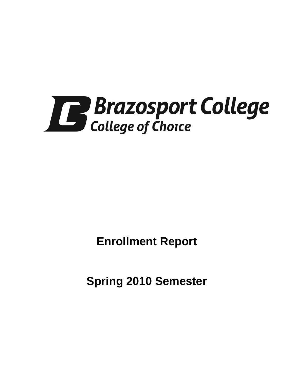

**Enrollment Report**

**Spring 2010 Semester**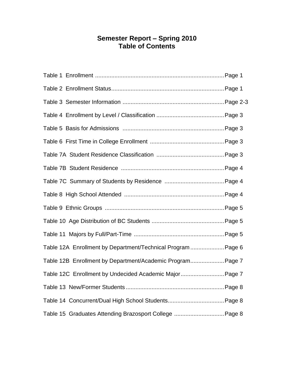# **Semester Report – Spring 2010 Table of Contents**

| Table 12A Enrollment by Department/Technical Program Page 6 |
|-------------------------------------------------------------|
| Table 12B Enrollment by Department/Academic Program Page 7  |
| Table 12C Enrollment by Undecided Academic Major Page 7     |
|                                                             |
|                                                             |
|                                                             |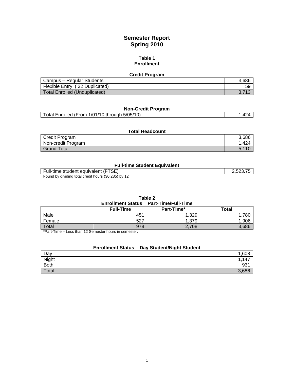# **Semester Report Spring 2010**

#### **Table 1 Enrollment**

| <b>Credit Program</b>          |       |
|--------------------------------|-------|
| Campus - Regular Students      | 3,686 |
| Flexible Entry (32 Duplicated) | 59    |
| Total Enrolled (Unduplicated)  |       |

# **Non-Credit Program**

| Total Enrolled (From 1/01/10 through 5/05/10) |  |
|-----------------------------------------------|--|
|                                               |  |

### **Total Headcount** Predit Program 3,686<br>
Non-credit Program 3,686<br>
1,424 Non-credit Program Grand Total 5,110

#### **Full-time Student Equivalent**

| (FTSE)                                                        | フ斥      |
|---------------------------------------------------------------|---------|
| Full-time student equivalent                                  | .JZJ.IJ |
| . hv dividina total cradit houre (30 285) hv<br><b>E</b> ound |         |

Found by dividing total credit hours (30,285) by 12

| Table 2                                      |                  |            |       |  |
|----------------------------------------------|------------------|------------|-------|--|
| <b>Enrollment Status Part-Time/Full-Time</b> |                  |            |       |  |
|                                              | <b>Full-Time</b> | Part-Time* | Total |  |
| Male                                         | 451              | 1.329      | .780  |  |
| Female                                       | 527              | 1.379      | 1.906 |  |
| Total                                        | 978              | 2,708      | 3.686 |  |

\*Part-Time – Less than 12 Semester hours in semester.

## **Enrollment Status Day Student/Night Student**

| Day         | ,608                     |
|-------------|--------------------------|
| Night       | $\rightarrow$<br>"<br>יד |
| <b>Both</b> | 931                      |
| Total       | 3,686                    |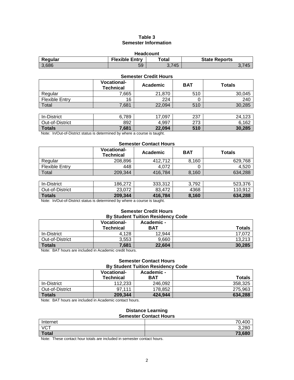### **Table 3 Semester Information**

| <b>Headcount</b>                                                  |    |       |  |  |
|-------------------------------------------------------------------|----|-------|--|--|
| <b>Flexible Entry</b><br><b>State Reports</b><br>Regular<br>™otal |    |       |  |  |
| 3,686                                                             | 59 | 3.745 |  |  |

#### **Semester Credit Hours**

|                       | <b>Vocational-</b><br><b>Technical</b> | Academic | <b>BAT</b> | <b>Totals</b> |
|-----------------------|----------------------------------------|----------|------------|---------------|
| Regular               | 7,665                                  | 21,870   | 510        | 30,045        |
| <b>Flexible Entry</b> | 16                                     | 224      | O          | 240           |
| Total                 | 7,681                                  | 22,094   | 510        | 30,285        |
|                       |                                        |          |            |               |
| In-District           | 6,789                                  | 17,097   | 237        | 24,123        |
| Out-of-District       | 892                                    | 4.997    | 273        | 6,162         |
| <b>Totals</b>         | 7,681                                  | 22,094   | 510        | 30,285        |

Note: In/Out-of-District status is determined by where a course is taught.

#### **Semester Contact Hours**

|                       | <b>Vocational-</b><br><b>Technical</b> | Academic | <b>BAT</b> | <b>Totals</b> |
|-----------------------|----------------------------------------|----------|------------|---------------|
| Regular               | 208,896                                | 412,712  | 8,160      | 629,768       |
| <b>Flexible Entry</b> | 448                                    | 4.072    |            | 4,520         |
| Total                 | 209.344                                | 416,784  | 8,160      | 634,288       |
|                       |                                        |          |            |               |
| In-District           | 186,272                                | 333,312  | 3,792      | 523,376       |
| Out-of-District       | 23,072                                 | 83,472   | 4368       | 110,912       |
| <b>Totals</b>         | 209,344                                | 416,784  | 8,160      | 634,288       |

Note: In/Out-of-District status is determined by where a course is taught.

# **Semester Credit Hours**<br> **Water Tuition Positions**

| <b>By Student Tuition Residency Code</b> |                                        |                          |               |
|------------------------------------------|----------------------------------------|--------------------------|---------------|
|                                          | <b>Vocational-</b><br><b>Technical</b> | Academic -<br><b>BAT</b> | <b>Totals</b> |
| In-District                              | 4.128                                  | 12.944                   | 17,072        |
| Out-of-District                          | 3.553                                  | 9,660                    | 13,213        |
| Totals                                   | 7,681                                  | 22.604                   | 30,285        |

Note: BAT hours are included in Academic credit hours.

#### **Semester Contact Hours By Student Tuition Residency Code**

|                 | *********************************** |            |               |  |
|-----------------|-------------------------------------|------------|---------------|--|
|                 | <b>Vocational-</b>                  | Academic - |               |  |
|                 | <b>Technical</b>                    | <b>BAT</b> | <b>Totals</b> |  |
| In-District     | 112.233                             | 246,092    | 358.325       |  |
| Out-of-District | 97.111                              | 178.852    | 275.963       |  |
| Totals          | 209,344                             | 424.944    | 634,288       |  |

Note: BAT hours are included in Academic contact hours.

#### **Distance Learning Semester Contact Hours**

|              | <u>sendered sentast nears</u> |
|--------------|-------------------------------|
| Internet     | ,400<br>70                    |
| <b>VCT</b>   | 3,280                         |
| <b>Total</b> | 73,680                        |
|              |                               |

Note: These contact hour totals are included in semester contact hours.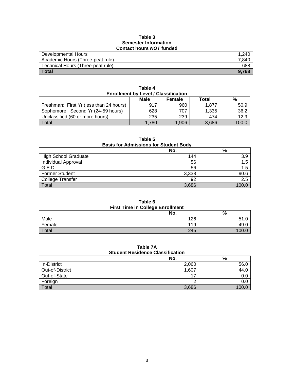#### **Table 3 Semester Information Contact hours** *NOT* **funded**

| <b>UUIRQUE HUUIS NU LIHUUGU</b>   |       |  |
|-----------------------------------|-------|--|
| Developmental Hours               | 1.240 |  |
| Academic Hours (Three-peat rule)  | 7.840 |  |
| Technical Hours (Three-peat rule) | 688   |  |
| <b>Total</b>                      | 9.768 |  |

| <b>Enrollment by Level / Classification</b> |       |       |       |       |  |
|---------------------------------------------|-------|-------|-------|-------|--|
| Male<br>Total<br>%<br>Female                |       |       |       |       |  |
| Freshman: First Yr (less than 24 hours)     | 917   | 960   | 1.877 | 50.9  |  |
| Sophomore: Second Yr (24-59 hours)          | 628   | 707   | 1.335 | 36.2  |  |
| Unclassified (60 or more hours)             | 235   | 239   | 474   | 12.9  |  |
| Total                                       | 1.780 | 1,906 | 3.686 | 100.0 |  |

**Table 4**

**Table 5 Basis for Admissions for Student Body No. %** Migh School Graduate 144 3.9<br>
Individual Approval 15 **Individual Approval** G.E.D. 56 | 1.5 Former Student 3,338 90.6 College Transfer 2.5<br>
Total 2.5<br>
2.6<br>
2.6<br>
2.6<br>
2.6<br>
3,686<br>
2.0 Total 3,686  $\vert$  3,686  $\vert$  3,686  $\vert$  3,000.0

**Table 6 First Time in College Enrollment**

| <b>THOL THIS IN SONGGO EMPIRICHL</b> |     |      |  |
|--------------------------------------|-----|------|--|
|                                      | No. | %    |  |
| Male                                 | 126 |      |  |
| Female                               | 119 | 49.U |  |
| Total                                | 245 |      |  |

#### **Table 7A Student Residence Classification**

|                    | No.   | %     |
|--------------------|-------|-------|
| <b>In-District</b> | 2,060 | 56.0  |
| Out-of-District    | 1,607 | 44.0  |
| Out-of-State       | 47    |       |
| Foreign            |       |       |
| Total              | 3,686 | 100 ር |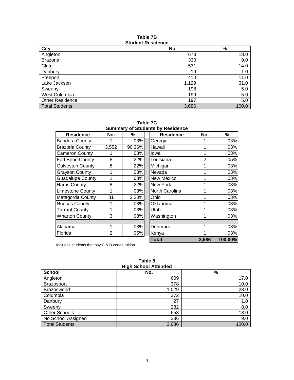#### **Table 7B Student Residence**

| <b>City</b>            | No.   | $\%$  |
|------------------------|-------|-------|
| Angleton               | 673   | 18.0  |
| <b>Brazoria</b>        | 330   | 9.0   |
| Clute                  | 531   | 14.0  |
| Danbury                | 19    | 1.0   |
| Freeport               | 410   | 11.0  |
| Lake Jackson           | 1,129 | 31.0  |
| Sweeny                 | 198   | 5.0   |
| West Columbia          | 199   | 5.0   |
| <b>Other Residence</b> | 197   | 5.0   |
| <b>Total Students</b>  | 3,686 | 100.0 |

**Table 7C Summary of Students by Residence**

| <b>Residence</b>        | No.            | %      | <b>Residence</b> | No.            | %       |
|-------------------------|----------------|--------|------------------|----------------|---------|
| <b>Bandera County</b>   |                | .03%   | Georgia          |                | .03%    |
| <b>Brazoria County</b>  | 3,552          | 96.36% | Hawaii           |                | .03%    |
| <b>Cameron County</b>   |                | .03%   | lowa             |                | .03%    |
| Fort Bend County        | 8              | .22%   | Louisiana        | $\overline{2}$ | .05%    |
| <b>Galveston County</b> | 8              | .22%   | Michigan         |                | .03%    |
| <b>Grayson County</b>   | 1              | .03%   | Nevada           |                | .03%    |
| <b>Guadalupe County</b> | 1              | .03%   | New Mexico       |                | .03%    |
| <b>Harris County</b>    | 8              | .22%   | New York         |                | .03%    |
| <b>Limestone County</b> | 1              | .03%   | North Carolina   |                | .03%    |
| Matagorda County        | 81             | 2.20%  | Ohio             |                | .03%    |
| <b>Nueces County</b>    | 1              | .03%   | Oklahoma         |                | .03%    |
| <b>Tarrant County</b>   | 1              | .03%   | Utah             |                | .03%    |
| <b>Wharton County</b>   | 3              | .08%   | Washington       |                | .03%    |
|                         |                |        |                  |                |         |
| Alabama                 | 1              | .03%   | Denmark          |                | .03%    |
| Florida                 | $\overline{2}$ | .05%   | Kenya            |                | .03%    |
|                         |                |        | <b>Total</b>     | 3,686          | 100.00% |

Includes students that pay C & D coded tuition.

| Table 8                     |  |  |
|-----------------------------|--|--|
| <b>High School Attended</b> |  |  |
|                             |  |  |

| ו וואָוו טטווטטו הנוכחוטכע |       |       |  |
|----------------------------|-------|-------|--|
| <b>School</b>              | No.   | %     |  |
| Angleton                   | 609   | 17.0  |  |
| <b>Brazosport</b>          | 378   | 10.0  |  |
| Brazoswood                 | 1,029 | 28.0  |  |
| Columbia                   | 372   | 10.0  |  |
| Danbury                    | 27    | 1.0   |  |
| Sweeny                     | 282   | 8.0   |  |
| <b>Other Schools</b>       | 653   | 18.0  |  |
| No School Assigned         | 336   | 9.0   |  |
| <b>Total Students</b>      | 3,686 | 100.0 |  |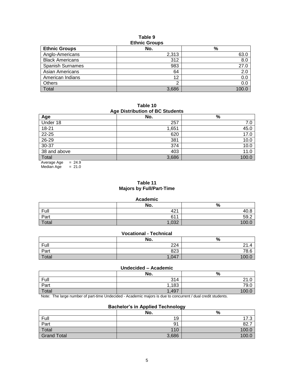#### **Table 9 Ethnic Groups**

| <b>EUTING GLOUPS</b>    |       |               |  |
|-------------------------|-------|---------------|--|
| <b>Ethnic Groups</b>    | No.   | $\frac{9}{6}$ |  |
| Anglo-Americans         | 2,313 | 63.0          |  |
| <b>Black Americans</b>  | 312   | 8.0           |  |
| <b>Spanish Surnames</b> | 983   | 27.0          |  |
| Asian Americans         | 64    | 2.0           |  |
| American Indians        | 12    | 0.0           |  |
| <b>Others</b>           | ◠     | 0.0           |  |
| <b>Total</b>            | 3,686 | 100.          |  |

**Table 10 Age Distribution of BC Students**

| Age Distribution of DO Otuachts |       |       |  |  |
|---------------------------------|-------|-------|--|--|
| Age                             | No.   | %     |  |  |
| Under 18                        | 257   | 7.0   |  |  |
| 18-21                           | 1,651 | 45.0  |  |  |
| $22 - 25$                       | 620   | 17.0  |  |  |
| $26 - 29$                       | 381   | 10.0  |  |  |
| $30 - 37$                       | 374   | 10.0  |  |  |
| 38 and above                    | 403   | 11.0  |  |  |
| Total                           | 3,686 | 100.0 |  |  |
| $= 24.9$<br>Average Age         |       |       |  |  |

Median Age  $= 21.0$ 

## **Table 11 Majors by Full/Part-Time**

#### **Academic**

| ------- |                 |      |  |
|---------|-----------------|------|--|
|         | No.             | %    |  |
| Full    | 42 <sup>1</sup> | 40.8 |  |
| Part    | 611             | 59.2 |  |
| Total   | 1,032           | 100. |  |

## **Vocational - Technical**

|       | No.   | %       |
|-------|-------|---------|
| Full  | 224   | 21.4    |
| Part  | 823   | 78.6    |
| Total | 1,047 | 100 $O$ |

#### **Undecided – Academic**

|             | No.                      | %                           |
|-------------|--------------------------|-----------------------------|
| <b>Full</b> | 314                      | $\sim$<br>$\sim$<br>. د اعا |
| Part        | 1,183                    | 79.0                        |
| Total       | ,497<br>$\boldsymbol{A}$ | 100                         |

Note: The large number of part-time Undecided - Academic majors is due to concurrent / dual credit students.

## **Bachelor's in Applied Technology**

|                    | No.   | %     |
|--------------------|-------|-------|
| Full               | 19    | 17.3  |
| Part<br>Total      | 91    | 82.   |
|                    | 110   | 100.0 |
| <b>Grand Total</b> | 3,686 | 100.0 |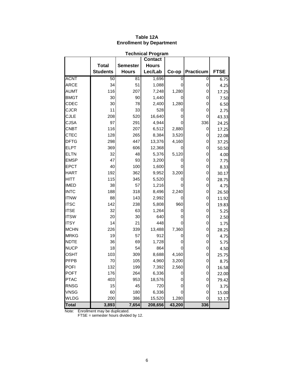| <b>Technical Program</b> |                 |                 |              |        |                  |             |  |  |
|--------------------------|-----------------|-----------------|--------------|--------|------------------|-------------|--|--|
|                          | <b>Contact</b>  |                 |              |        |                  |             |  |  |
|                          | <b>Total</b>    | <b>Semester</b> | <b>Hours</b> |        |                  |             |  |  |
|                          | <b>Students</b> | <b>Hours</b>    | Lec/Lab      | Co-op  | <b>Practicum</b> | <b>FTSE</b> |  |  |
| <b>ACNT</b>              | 50              | 81              | 1,696        | 0      | 0                | 6.75        |  |  |
| <b>ARCE</b>              | 34              | 51              | 1,088        | 0      | 0                | 4.25        |  |  |
| <b>AUMT</b>              | 116             | 207             | 7,248        | 1,280  | 0                | 17.25       |  |  |
| <b>BMGT</b>              | 30              | 90              | 1,440        | 0      | 0                | 7.50        |  |  |
| CDEC                     | 30              | 78              | 2,400        | 1,280  | 0                | 6.50        |  |  |
| <b>CJCR</b>              | 11              | 33              | 528          |        | 0                | 2.75        |  |  |
| <b>CJLE</b>              | 208             | 520             | 16,640       | 0      | 0                | 43.33       |  |  |
| <b>CJSA</b>              | 97              | 291             | 4,944        | 0      | 336              | 24.25       |  |  |
| <b>CNBT</b>              | 116             | 207             | 6,512        | 2,880  | 0                | 17.25       |  |  |
| <b>CTEC</b>              | 128             | 265             | 8,384        | 3,520  | 0                | 22.08       |  |  |
| <b>DFTG</b>              | 298             | 447             | 13,376       | 4,160  | 0                | 37.25       |  |  |
| <b>ELPT</b>              | 369             | 606             | 12,368       |        | 0                | 50.50       |  |  |
| <b>ELTN</b>              | 32              | 48              | 5,376        | 5,120  | 0                | 4.00        |  |  |
| <b>EMSP</b>              | 47              | 93              | 3,200        | 0      | 0                | 7.75        |  |  |
| <b>EPCT</b>              | 40              | 100             | 1,600        |        | 0                | 8.33        |  |  |
| <b>HART</b>              | 192             | 362             | 9,952        | 3,200  | 0                | 30.17       |  |  |
| <b>HITT</b>              | 115             | 345             | 5,520        |        | 0                | 28.75       |  |  |
| <b>IMED</b>              | 38              | 57              | 1,216        |        | 0                | 4.75        |  |  |
| <b>INTC</b>              | 188             | 318             | 8,496        | 2,240  | 0                | 26.50       |  |  |
| <b>ITNW</b>              | 88              | 143             | 2,992        |        | 0                | 11.92       |  |  |
| <b>ITSC</b>              | 142             | 238             | 5,808        | 960    | 0                | 19.83       |  |  |
| <b>ITSE</b>              | 32              | 63              | 1,264        | 0      | 0                | 5.25        |  |  |
| <b>ITSW</b>              | 20              | 30              | 640          |        | 0                | 2.50        |  |  |
| <b>ITSY</b>              | 14              | 21              | 448          | 0      | 0                | 1.75        |  |  |
| <b>MCHN</b>              | 226             | 339             | 13,488       | 7,360  | 0                | 28.25       |  |  |
| <b>MRKG</b>              | 19              | 57              | 912          | 0      | 0                | 4.75        |  |  |
| <b>NDTE</b>              | 36              | 69              | 1,728        | 0      | 0                | 5.75        |  |  |
| <b>NUCP</b>              | 18              | 54              | 864          | 0      | 0                | 4.50        |  |  |
| <b>OSHT</b>              | 103             | 309             | 8,688        | 4,160  | 0                | 25.75       |  |  |
| PFPB                     | 70              | 105             | 4,960        | 3,200  | 0                | 8.75        |  |  |
| POFI                     | 132             | 199             | 7,392        | 2,560  | 0                | 16.58       |  |  |
| <b>POFT</b>              | 176             | 264             | 6,336        | 0      | $\mathbf 0$      | 22.00       |  |  |
| <b>PTAC</b>              | 403             | 953             | 18,576       | 0      | 0                | 79.42       |  |  |
| <b>RNSG</b>              | 15              | 45              | 720          | 0      | 0                | 3.75        |  |  |
| <b>VNSG</b>              | 60              | 180             | 6,336        | 0      | 0                | 15.00       |  |  |
| <b>WLDG</b>              | 200             | 386             | 15,520       | 1,280  | 0                | 32.17       |  |  |
| <b>Total</b>             | 3,893           | 7,654           | 208,656      | 43,200 | 336              |             |  |  |

# **Table 12A Enrollment by Department**

Note: Enrollment may be duplicated.

FTSE = semester hours divided by 12.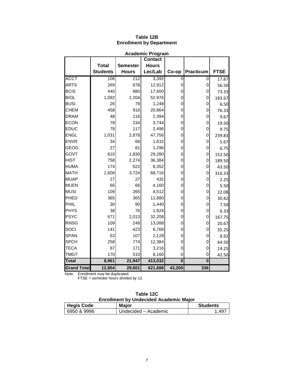| <b>Academic Program</b><br><b>Contact</b> |                 |                 |              |             |                  |             |  |
|-------------------------------------------|-----------------|-----------------|--------------|-------------|------------------|-------------|--|
|                                           |                 |                 |              |             |                  |             |  |
|                                           | <b>Total</b>    | <b>Semester</b> | <b>Hours</b> |             |                  |             |  |
|                                           | <b>Students</b> | <b>Hours</b>    | Lec/Lab      | Co-op       | <b>Practicum</b> | <b>FTSE</b> |  |
| <b>ACCT</b>                               | 106             | 212             | 3,392        | 0           | 0                | 17.67       |  |
| <b>ARTS</b>                               | 269             | 678             | 12,912       | $\mathbf 0$ | 0                | 56.50       |  |
| <b>BCIS</b>                               | 440             | 880             | 17,600       | 0           | 0                | 73.33       |  |
| <b>BIOL</b>                               | 1,092           | 2,204           | 52,976       | 0           | 0                | 183.67      |  |
| <b>BUSI</b>                               | 26              | 78              | 1,248        | 0           | 0                | 6.50        |  |
| <b>CHEM</b>                               | 458             | 916             | 20,864       | 0           | 0                | 76.33       |  |
| <b>DRAM</b>                               | 48              | 116             | 2,384        | 0           | 0                | 9.67        |  |
| <b>ECON</b>                               | 78              | 234             | 3,744        | 0           | 0                | 19.50       |  |
| <b>EDUC</b>                               | 78              | 117             | 2,496        | $\mathbf 0$ | 0                | 9.75        |  |
| <b>ENGL</b>                               | 1,031           | 2,878           | 47,756       | $\Omega$    | 0                | 239.83      |  |
| <b>ENVR</b>                               | 34              | 68              | 1,632        | 0           | 0                | 5.67        |  |
| <b>GEOG</b>                               | 27              | 81              | 1,296        | 0           | 0                | 6.75        |  |
| GOVT                                      | 610             | 1,830           | 29,280       | 0           | 0                | 152.50      |  |
| <b>HIST</b>                               | 758             | 2,274           | 36,384       | 0           | 0                | 189.50      |  |
| <b>HUMA</b>                               | 174             | 522             | 8,352        | 0           | 0                | 43.50       |  |
| <b>MATH</b>                               | 1,608           | 3,724           | 68,716       | 0           | 0                | 310.33      |  |
| <b>MUAP</b>                               | 27              | 27              | 432          | 0           | 0                | 2.25        |  |
| <b>MUEN</b>                               | 66              | 66              | 4,160        | 0           | 0                | 5.50        |  |
| <b>MUSI</b>                               | 109             | 265             | 4,512        | $\mathbf 0$ | 0                | 22.08       |  |
| PHED                                      | 365             | 365             | 11,680       | 0           | 0                | 30.42       |  |
| PHIL                                      | 30              | 90              | 1,440        | 0           | 0                | 7.50        |  |
| PHYS                                      | 38              | 76              | 1,824        | 0           | 0                | 6.33        |  |
| <b>PSYC</b>                               | 671             | 2,013           | 32,208       | $\mathbf 0$ | 0                | 167.75      |  |
| <b>RNSG</b>                               | 109             | 248             | 13,088       | 0           | 0                | 20.67       |  |
| SOCI                                      | 141             | 423             | 6,768        | 0           | 0                | 35.25       |  |
| <b>SPAN</b>                               | 53              | 107             | 2,128        | 0           | 0                | 8.92        |  |
| <b>SPCH</b>                               | 258             | 774             | 12,384       | $\mathbf 0$ | 0                | 64.50       |  |
| <b>TECA</b>                               | 87              | 171             | 3,216        | 0           | 0                | 14.25       |  |
| <b>TMGT</b>                               | 170             | 510             | 8,160        | 0           | 0                | 42.50       |  |
| <b>Total</b>                              | 8,961           | 21,947          | 413,032      | $\bf{0}$    | $\bf{0}$         |             |  |
| <b>Grand Total</b>                        | 12,854          | 29,601          | 621,688      | 43,200      | 336              |             |  |

# **Table 12B Enrollment by Department**

Note: Enrollment may be duplicated.

FTSE = semester hours divided by 12.

| Table 12C<br><b>Enrollment by Undecided Academic Major</b> |                      |                 |  |  |
|------------------------------------------------------------|----------------------|-----------------|--|--|
| <b>Hegis Code</b>                                          | <b>Maior</b>         | <b>Students</b> |  |  |
| 6950 & 9996                                                | Undecided - Academic | 1.497           |  |  |